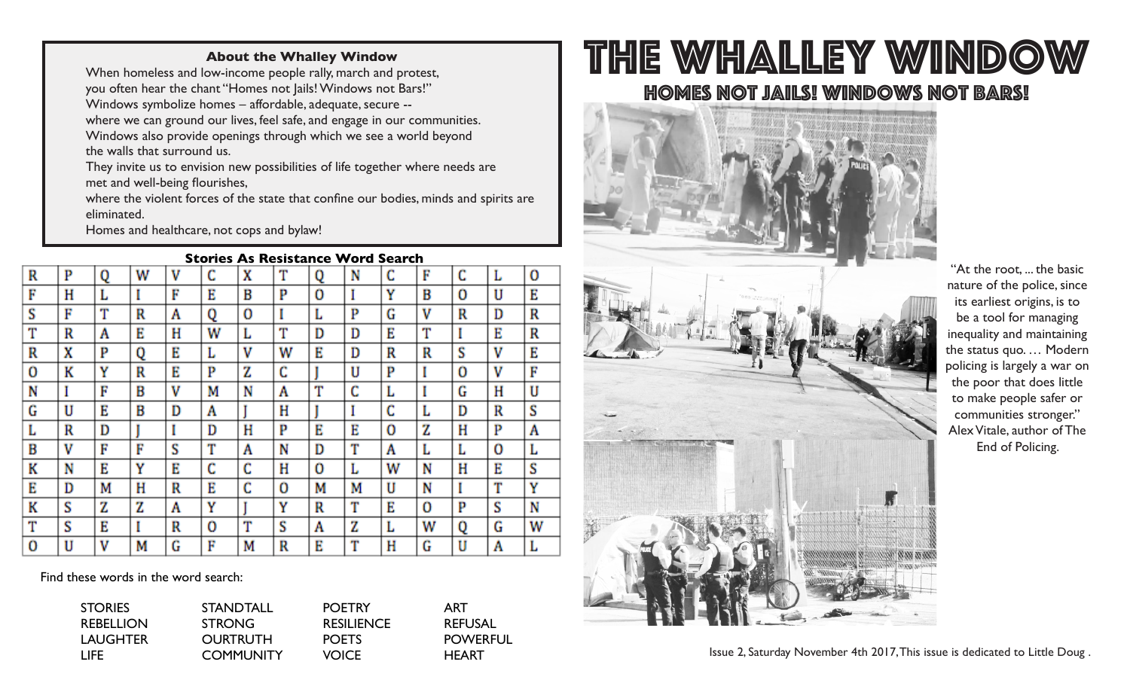### **About the Whalley Window**

When homeless and low-income people rally, march and protest, you often hear the chant "Homes not Jails! Windows not Bars!" Windows symbolize homes – affordable, adequate, secure - where we can ground our lives, feel safe, and engage in our communities. Windows also provide openings through which we see a world beyond the walls that surround us.

They invite us to envision new possibilities of life together where needs are met and well-being flourishes,

 where the violent forces of the state that confine our bodies, minds and spirits are eliminated.

Homes and healthcare, not cops and bylaw!

#### **Stories As Resistance Word Search**

|   |   |            |   | -- |   |    |   |   |        | scaren |   |   |   |   |
|---|---|------------|---|----|---|----|---|---|--------|--------|---|---|---|---|
| R | P | Q          | w | ٧  | Ċ | X  | T | Q | N      | C      | F | C | L | 0 |
| F | Η | L          |   | F  | E | B  | P | Ō |        | Υ      | B | O | U | E |
| S | F | <b>PTM</b> | R | A  | 0 | 0  | I | ш | P      | G      | ν | R | D | R |
| Т | R | A          | E | Η  | W | L. | T | D | D      | E      | T |   | E | R |
| R | X | P          | 0 | E  | L | ٧  | w | E | D      | R      | R | S | ٧ | E |
| 0 | K | Y          | R | Ε  | P | Z  | Ċ |   | U      | P      |   | 0 | ٧ | F |
| N |   | F          | B | V  | М | N  | A | Т | C      | L      |   | G | н | U |
| G | U | E          | B | D  | A |    | H |   |        | c      | Ŀ | D | R | S |
| L | R | D          |   |    | D | Η  | P | E | E      | 0      | z | Н | P | A |
| B | v | F          | F | S  | т | A  | N | D | т      | A      | L | L | 0 | ь |
| K | N | E          | Y | Ε  | C | C  | Н | O | L.     | W      | N | Н | E | S |
| E | D | М          | H | R  | E | C  | 0 | М | M      | U      | N |   | m | Υ |
| K | S | Z          | Z | Α  | Y |    | Y | R | m<br>ш | E      | Ō | P | S | N |
| Т | S | Е          |   | R  | 0 | T  | S | Α | Z      | L      | W | 0 | G | W |
| 0 | U | ٧          | М | G  | F | м  | R | E | m      | Η      | G | U | A | Ь |

Find these words in the word search:

| <b>STORIES</b>   | <b>STANDTALL</b> | <b>POETRY</b>     | ART             |
|------------------|------------------|-------------------|-----------------|
| <b>REBELLION</b> | <b>STRONG</b>    | <b>RESILIENCE</b> | <b>REFUSAL</b>  |
| <b>LAUGHTER</b>  | <b>OURTRUTH</b>  | <b>POETS</b>      | <b>POWERFUL</b> |
| LIFE.            | <b>COMMUNITY</b> | <b>VOICE</b>      | <b>HFART</b>    |

# The Whalley Window Homes not jails! Windows not bars!





"At the root, ... the basic nature of the police, since its earliest origins, is to be a tool for managing inequality and maintaining the status quo. … Modern policing is largely a war on the poor that does little to make people safer or communities stronger." Alex Vitale, author of The End of Policing.

Issue 2, Saturday November 4th 2017, This issue is dedicated to Little Doug .